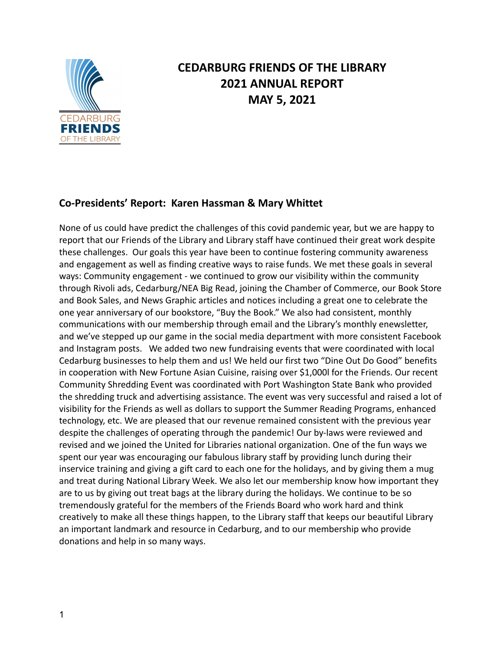

# **CEDARBURG FRIENDS OF THE LIBRARY 2021 ANNUAL REPORT MAY 5, 2021**

## **Co-Presidents' Report: Karen Hassman & Mary Whittet**

None of us could have predict the challenges of this covid pandemic year, but we are happy to report that our Friends of the Library and Library staff have continued their great work despite these challenges. Our goals this year have been to continue fostering community awareness and engagement as well as finding creative ways to raise funds. We met these goals in several ways: Community engagement - we continued to grow our visibility within the community through Rivoli ads, Cedarburg/NEA Big Read, joining the Chamber of Commerce, our Book Store and Book Sales, and News Graphic articles and notices including a great one to celebrate the one year anniversary of our bookstore, "Buy the Book." We also had consistent, monthly communications with our membership through email and the Library's monthly enewsletter, and we've stepped up our game in the social media department with more consistent Facebook and Instagram posts. We added two new fundraising events that were coordinated with local Cedarburg businesses to help them and us! We held our first two "Dine Out Do Good" benefits in cooperation with New Fortune Asian Cuisine, raising over \$1,000l for the Friends. Our recent Community Shredding Event was coordinated with Port Washington State Bank who provided the shredding truck and advertising assistance. The event was very successful and raised a lot of visibility for the Friends as well as dollars to support the Summer Reading Programs, enhanced technology, etc. We are pleased that our revenue remained consistent with the previous year despite the challenges of operating through the pandemic! Our by-laws were reviewed and revised and we joined the United for Libraries national organization. One of the fun ways we spent our year was encouraging our fabulous library staff by providing lunch during their inservice training and giving a gift card to each one for the holidays, and by giving them a mug and treat during National Library Week. We also let our membership know how important they are to us by giving out treat bags at the library during the holidays. We continue to be so tremendously grateful for the members of the Friends Board who work hard and think creatively to make all these things happen, to the Library staff that keeps our beautiful Library an important landmark and resource in Cedarburg, and to our membership who provide donations and help in so many ways.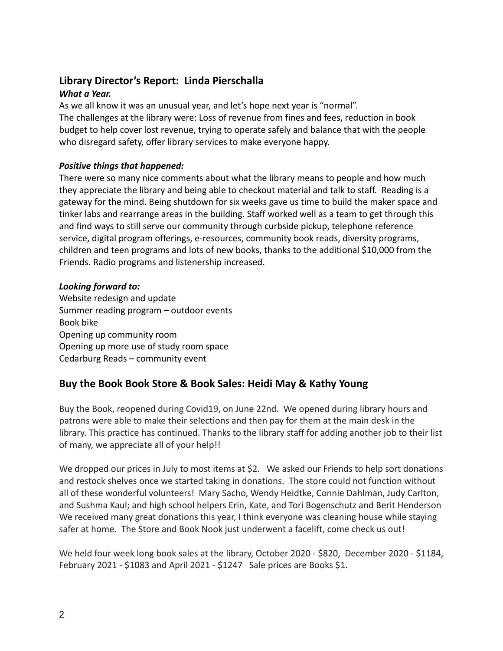## **Library Director's Report: Linda Pierschalla**

### *What a Year.*

As we all know it was an unusual year, and let's hope next year is "normal". The challenges at the library were: Loss of revenue from fines and fees, reduction in book budget to help cover lost revenue, trying to operate safely and balance that with the people who disregard safety, offer library services to make everyone happy.

### *Positive things that happened:*

There were so many nice comments about what the library means to people and how much they appreciate the library and being able to checkout material and talk to staff. Reading is a gateway for the mind. Being shutdown for six weeks gave us time to build the maker space and tinker labs and rearrange areas in the building. Staff worked well as a team to get through this and find ways to still serve our community through curbside pickup, telephone reference service, digital program offerings, e-resources, community book reads, diversity programs, children and teen programs and lots of new books, thanks to the additional \$10,000 from the Friends. Radio programs and listenership increased.

#### *Looking forward to:*

Website redesign and update Summer reading program – outdoor events Book bike Opening up community room Opening up more use of study room space Cedarburg Reads – community event

## **Buy the Book Book Store & Book Sales: Heidi May & Kathy Young**

Buy the Book, reopened during Covid19, on June 22nd. We opened during library hours and patrons were able to make their selections and then pay for them at the main desk in the library. This practice has continued. Thanks to the library staff for adding another job to their list of many, we appreciate all of your help!!

We dropped our prices in July to most items at \$2. We asked our Friends to help sort donations and restock shelves once we started taking in donations. The store could not function without all of these wonderful volunteers! Mary Sacho, Wendy Heidtke, Connie Dahlman, Judy Carlton, and Sushma Kaul; and high school helpers Erin, Kate, and Tori Bogenschutz and Berit Henderson We received many great donations this year, I think everyone was cleaning house while staying safer at home. The Store and Book Nook just underwent a facelift, come check us out!

We held four week long book sales at the library, October 2020 - \$820, December 2020 - \$1184, February 2021 - \$1083 and April 2021 - \$1247 Sale prices are Books \$1.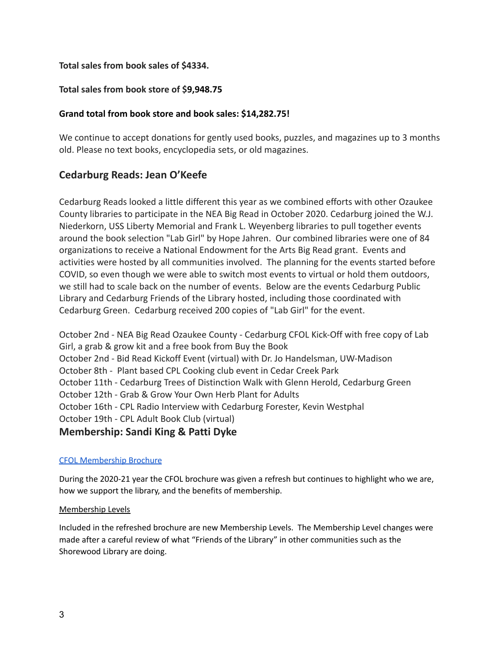#### **Total sales from book sales of \$4334.**

#### **Total sales from book store of \$9,948.75**

#### **Grand total from book store and book sales: \$14,282.75!**

We continue to accept donations for gently used books, puzzles, and magazines up to 3 months old. Please no text books, encyclopedia sets, or old magazines.

## **Cedarburg Reads: Jean O'Keefe**

Cedarburg Reads looked a little different this year as we combined efforts with other Ozaukee County libraries to participate in the NEA Big Read in October 2020. Cedarburg joined the W.J. Niederkorn, USS Liberty Memorial and Frank L. Weyenberg libraries to pull together events around the book selection "Lab Girl" by Hope Jahren. Our combined libraries were one of 84 organizations to receive a National Endowment for the Arts Big Read grant. Events and activities were hosted by all communities involved. The planning for the events started before COVID, so even though we were able to switch most events to virtual or hold them outdoors, we still had to scale back on the number of events. Below are the events Cedarburg Public Library and Cedarburg Friends of the Library hosted, including those coordinated with Cedarburg Green. Cedarburg received 200 copies of "Lab Girl" for the event.

October 2nd - NEA Big Read Ozaukee County - Cedarburg CFOL Kick-Off with free copy of Lab Girl, a grab & grow kit and a free book from Buy the Book October 2nd - Bid Read Kickoff Event (virtual) with Dr. Jo Handelsman, UW-Madison October 8th - Plant based CPL Cooking club event in Cedar Creek Park October 11th - Cedarburg Trees of Distinction Walk with Glenn Herold, Cedarburg Green October 12th - Grab & Grow Your Own Herb Plant for Adults October 16th - CPL Radio Interview with Cedarburg Forester, Kevin Westphal October 19th - CPL Adult Book Club (virtual)

#### **Membership: Sandi King & Patti Dyke**

#### CFOL [Membership](https://drive.google.com/file/d/1HVsU3FOjZdUotzKE9rwIAyaJ--I5w6M6/view?usp=sharing) Brochure

During the 2020-21 year the CFOL brochure was given a refresh but continues to highlight who we are, how we support the library, and the benefits of membership.

#### Membership Levels

Included in the refreshed brochure are new Membership Levels. The Membership Level changes were made after a careful review of what "Friends of the Library" in other communities such as the Shorewood Library are doing.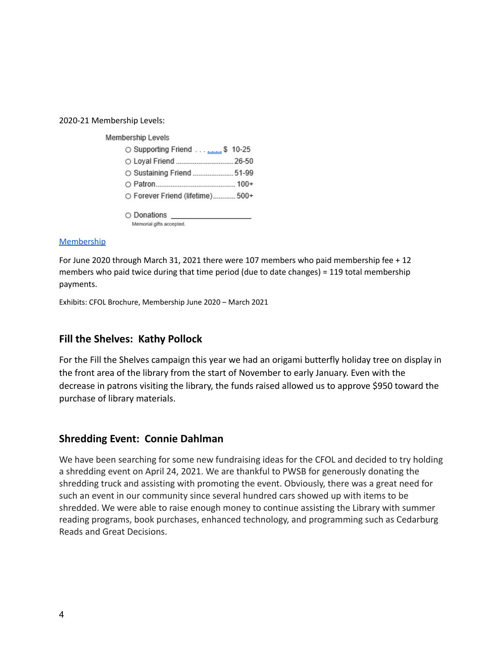2020-21 Membership Levels:

Membership Levels

| S 10-25                          |  |
|----------------------------------|--|
| O Loyal Friend  26-50            |  |
| ○ Sustaining Friend  51-99       |  |
|                                  |  |
| O Forever Friend (lifetime) 500+ |  |

○ Donations

Memorial gifts accepted.

#### **[Membership](https://drive.google.com/file/d/1cSYwDQ_tSwyq13z1rVvMqIeLOmbx1Zbl/view?usp=sharing)**

For June 2020 through March 31, 2021 there were 107 members who paid membership fee + 12 members who paid twice during that time period (due to date changes) = 119 total membership payments.

Exhibits: CFOL Brochure, Membership June 2020 – March 2021

## **Fill the Shelves: Kathy Pollock**

For the Fill the Shelves campaign this year we had an origami butterfly holiday tree on display in the front area of the library from the start of November to early January. Even with the decrease in patrons visiting the library, the funds raised allowed us to approve \$950 toward the purchase of library materials.

#### **Shredding Event: Connie Dahlman**

We have been searching for some new fundraising ideas for the CFOL and decided to try holding a shredding event on April 24, 2021. We are thankful to PWSB for generously donating the shredding truck and assisting with promoting the event. Obviously, there was a great need for such an event in our community since several hundred cars showed up with items to be shredded. We were able to raise enough money to continue assisting the Library with summer reading programs, book purchases, enhanced technology, and programming such as Cedarburg Reads and Great Decisions.